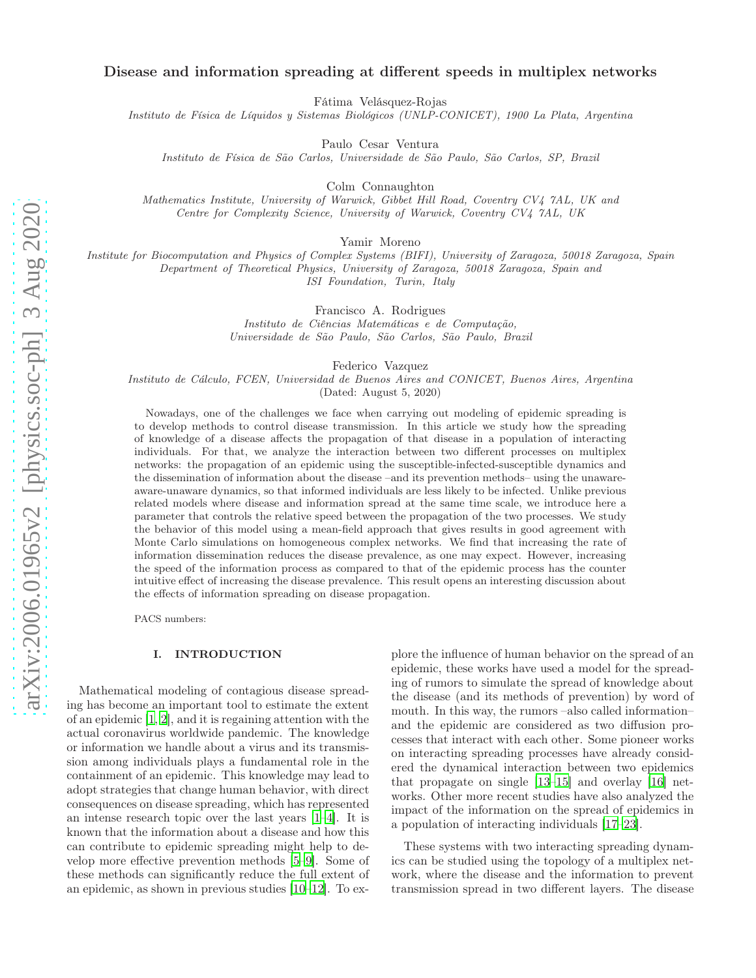# Disease and information spreading at different speeds in multiplex networks

Fátima Velásquez-Rojas

Instituto de Física de Líquidos y Sistemas Biológicos (UNLP-CONICET), 1900 La Plata, Argentina

Paulo Cesar Ventura

Instituto de Física de São Carlos, Universidade de São Paulo, São Carlos, SP, Brazil

Colm Connaughton

Mathematics Institute, University of Warwick, Gibbet Hill Road, Coventry CV4 7AL, UK and Centre for Complexity Science, University of Warwick, Coventry CV4 7AL, UK

Yamir Moreno

Institute for Biocomputation and Physics of Complex Systems (BIFI), University of Zaragoza, 50018 Zaragoza, Spain Department of Theoretical Physics, University of Zaragoza, 50018 Zaragoza, Spain and ISI Foundation, Turin, Italy

Francisco A. Rodrigues

Instituto de Ciências Matemáticas e de Computação, Universidade de São Paulo, São Carlos, São Paulo, Brazil

Federico Vazquez

Instituto de Cálculo, FCEN, Universidad de Buenos Aires and CONICET, Buenos Aires, Argentina (Dated: August 5, 2020)

Nowadays, one of the challenges we face when carrying out modeling of epidemic spreading is to develop methods to control disease transmission. In this article we study how the spreading of knowledge of a disease affects the propagation of that disease in a population of interacting individuals. For that, we analyze the interaction between two different processes on multiplex networks: the propagation of an epidemic using the susceptible-infected-susceptible dynamics and the dissemination of information about the disease –and its prevention methods– using the unawareaware-unaware dynamics, so that informed individuals are less likely to be infected. Unlike previous related models where disease and information spread at the same time scale, we introduce here a parameter that controls the relative speed between the propagation of the two processes. We study the behavior of this model using a mean-field approach that gives results in good agreement with Monte Carlo simulations on homogeneous complex networks. We find that increasing the rate of information dissemination reduces the disease prevalence, as one may expect. However, increasing the speed of the information process as compared to that of the epidemic process has the counter intuitive effect of increasing the disease prevalence. This result opens an interesting discussion about the effects of information spreading on disease propagation.

PACS numbers:

#### I. INTRODUCTION

Mathematical modeling of contagious disease spreading has become an important tool to estimate the extent of an epidemic [\[1](#page-9-0), [2](#page-9-1)], and it is regaining attention with the actual coronavirus worldwide pandemic. The knowledge or information we handle about a virus and its transmission among individuals plays a fundamental role in the containment of an epidemic. This knowledge may lead to adopt strategies that change human behavior, with direct consequences on disease spreading, which has represented an intense research topic over the last years [\[1](#page-9-0)[–4\]](#page-9-2). It is known that the information about a disease and how this can contribute to epidemic spreading might help to develop more effective prevention methods [\[5](#page-9-3)[–9\]](#page-9-4). Some of these methods can significantly reduce the full extent of an epidemic, as shown in previous studies [\[10](#page-9-5)[–12\]](#page-9-6). To ex-

plore the influence of human behavior on the spread of an epidemic, these works have used a model for the spreading of rumors to simulate the spread of knowledge about the disease (and its methods of prevention) by word of mouth. In this way, the rumors –also called information– and the epidemic are considered as two diffusion processes that interact with each other. Some pioneer works on interacting spreading processes have already considered the dynamical interaction between two epidemics that propagate on single [\[13](#page-9-7)[–15\]](#page-9-8) and overlay [\[16](#page-9-9)] networks. Other more recent studies have also analyzed the impact of the information on the spread of epidemics in a population of interacting individuals [\[17](#page-9-10)[–23](#page-9-11)].

These systems with two interacting spreading dynamics can be studied using the topology of a multiplex network, where the disease and the information to prevent transmission spread in two different layers. The disease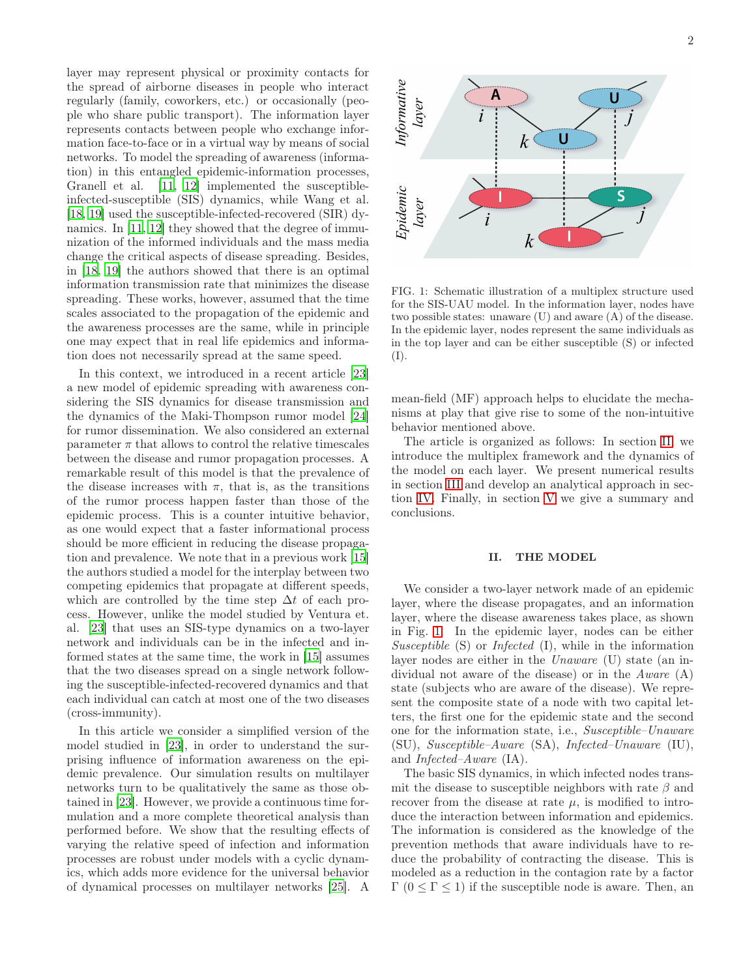layer may represent physical or proximity contacts for the spread of airborne diseases in people who interact regularly (family, coworkers, etc.) or occasionally (people who share public transport). The information layer represents contacts between people who exchange information face-to-face or in a virtual way by means of social networks. To model the spreading of awareness (information) in this entangled epidemic-information processes, Granell et al. [\[11,](#page-9-12) [12](#page-9-6)] implemented the susceptibleinfected-susceptible (SIS) dynamics, while Wang et al. [\[18,](#page-9-13) [19](#page-9-14)] used the susceptible-infected-recovered (SIR) dy-namics. In [\[11,](#page-9-12) [12](#page-9-6)] they showed that the degree of immunization of the informed individuals and the mass media change the critical aspects of disease spreading. Besides, in [\[18](#page-9-13), [19\]](#page-9-14) the authors showed that there is an optimal information transmission rate that minimizes the disease spreading. These works, however, assumed that the time scales associated to the propagation of the epidemic and the awareness processes are the same, while in principle one may expect that in real life epidemics and information does not necessarily spread at the same speed.

In this context, we introduced in a recent article [\[23](#page-9-11)] a new model of epidemic spreading with awareness considering the SIS dynamics for disease transmission and the dynamics of the Maki-Thompson rumor model [\[24](#page-9-15)] for rumor dissemination. We also considered an external parameter  $\pi$  that allows to control the relative timescales between the disease and rumor propagation processes. A remarkable result of this model is that the prevalence of the disease increases with  $\pi$ , that is, as the transitions of the rumor process happen faster than those of the epidemic process. This is a counter intuitive behavior, as one would expect that a faster informational process should be more efficient in reducing the disease propagation and prevalence. We note that in a previous work [\[15](#page-9-8)] the authors studied a model for the interplay between two competing epidemics that propagate at different speeds, which are controlled by the time step  $\Delta t$  of each process. However, unlike the model studied by Ventura et. al. [\[23](#page-9-11)] that uses an SIS-type dynamics on a two-layer network and individuals can be in the infected and informed states at the same time, the work in [\[15](#page-9-8)] assumes that the two diseases spread on a single network following the susceptible-infected-recovered dynamics and that each individual can catch at most one of the two diseases (cross-immunity).

In this article we consider a simplified version of the model studied in [\[23\]](#page-9-11), in order to understand the surprising influence of information awareness on the epidemic prevalence. Our simulation results on multilayer networks turn to be qualitatively the same as those obtained in [\[23\]](#page-9-11). However, we provide a continuous time formulation and a more complete theoretical analysis than performed before. We show that the resulting effects of varying the relative speed of infection and information processes are robust under models with a cyclic dynamics, which adds more evidence for the universal behavior of dynamical processes on multilayer networks [\[25\]](#page-9-16). A



<span id="page-1-1"></span>FIG. 1: Schematic illustration of a multiplex structure used for the SIS-UAU model. In the information layer, nodes have two possible states: unaware (U) and aware (A) of the disease. In the epidemic layer, nodes represent the same individuals as in the top layer and can be either susceptible (S) or infected (I).

mean-field (MF) approach helps to elucidate the mechanisms at play that give rise to some of the non-intuitive behavior mentioned above.

The article is organized as follows: In section [II,](#page-1-0) we introduce the multiplex framework and the dynamics of the model on each layer. We present numerical results in section [III](#page-2-0) and develop an analytical approach in section [IV.](#page-4-0) Finally, in section [V](#page-6-0) we give a summary and conclusions.

## <span id="page-1-0"></span>II. THE MODEL

We consider a two-layer network made of an epidemic layer, where the disease propagates, and an information layer, where the disease awareness takes place, as shown in Fig. [1.](#page-1-1) In the epidemic layer, nodes can be either Susceptible  $(S)$  or *Infected*  $(I)$ , while in the information layer nodes are either in the Unaware (U) state (an individual not aware of the disease) or in the Aware (A) state (subjects who are aware of the disease). We represent the composite state of a node with two capital letters, the first one for the epidemic state and the second one for the information state, i.e., Susceptible–Unaware (SU), Susceptible–Aware (SA), Infected–Unaware (IU), and Infected–Aware (IA).

The basic SIS dynamics, in which infected nodes transmit the disease to susceptible neighbors with rate  $\beta$  and recover from the disease at rate  $\mu$ , is modified to introduce the interaction between information and epidemics. The information is considered as the knowledge of the prevention methods that aware individuals have to reduce the probability of contracting the disease. This is modeled as a reduction in the contagion rate by a factor  $Γ(0 ≤ Γ ≤ 1)$  if the susceptible node is aware. Then, an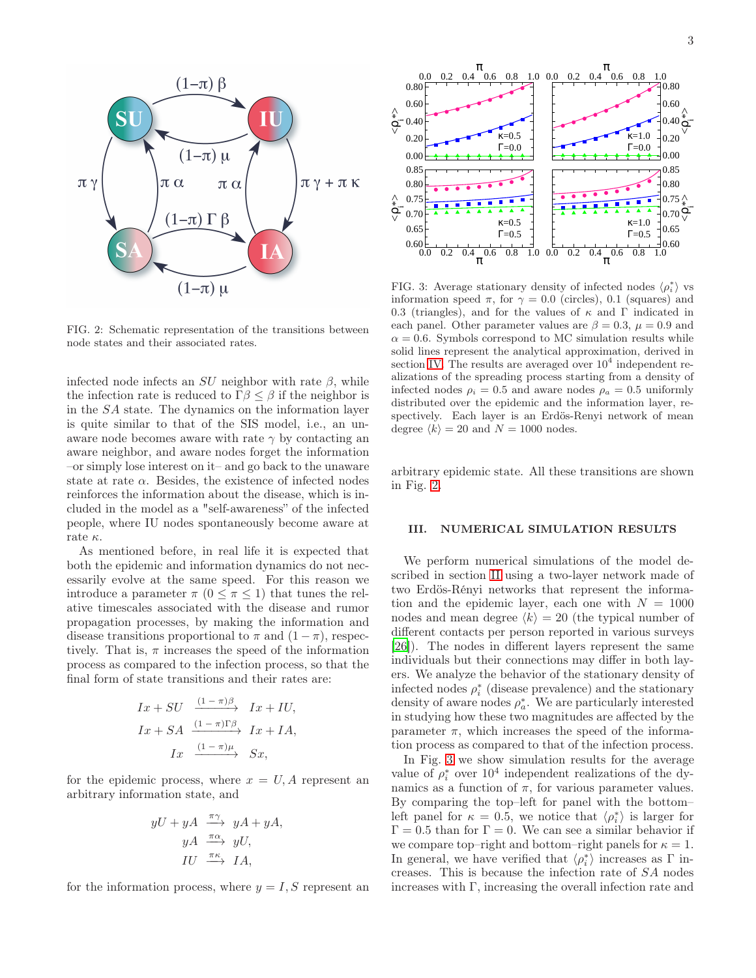

<span id="page-2-1"></span>FIG. 2: Schematic representation of the transitions between node states and their associated rates.

infected node infects an  $SU$  neighbor with rate  $\beta$ , while the infection rate is reduced to  $\Gamma \beta \leq \beta$  if the neighbor is in the SA state. The dynamics on the information layer is quite similar to that of the SIS model, i.e., an unaware node becomes aware with rate  $\gamma$  by contacting an aware neighbor, and aware nodes forget the information –or simply lose interest on it– and go back to the unaware state at rate  $\alpha$ . Besides, the existence of infected nodes reinforces the information about the disease, which is included in the model as a "self-awareness" of the infected people, where IU nodes spontaneously become aware at rate  $\kappa$ .

As mentioned before, in real life it is expected that both the epidemic and information dynamics do not necessarily evolve at the same speed. For this reason we introduce a parameter  $\pi$   $(0 \leq \pi \leq 1)$  that tunes the relative timescales associated with the disease and rumor propagation processes, by making the information and disease transitions proportional to  $\pi$  and  $(1 - \pi)$ , respectively. That is,  $\pi$  increases the speed of the information process as compared to the infection process, so that the final form of state transitions and their rates are:

$$
Ix + SU \xrightarrow{(1 - \pi)\beta} Ix + IU,
$$
  
\n
$$
Ix + SA \xrightarrow{(1 - \pi)\Gamma\beta} Ix + IA,
$$
  
\n
$$
Ix \xrightarrow{(1 - \pi)\mu} Sx,
$$

for the epidemic process, where  $x = U, A$  represent an arbitrary information state, and

$$
yU + yA \xrightarrow{\pi\gamma} yA + yA,
$$
  
\n
$$
yA \xrightarrow{\pi\alpha} yU,
$$
  
\n
$$
IU \xrightarrow{\pi\kappa} IA,
$$

for the information process, where  $y = I, S$  represent an



<span id="page-2-2"></span>FIG. 3: Average stationary density of infected nodes  $\langle \rho_i^* \rangle$  vs information speed  $\pi$ , for  $\gamma = 0.0$  (circles), 0.1 (squares) and 0.3 (triangles), and for the values of  $\kappa$  and  $\Gamma$  indicated in each panel. Other parameter values are  $\beta = 0.3$ ,  $\mu = 0.9$  and  $\alpha = 0.6$ . Symbols correspond to MC simulation results while solid lines represent the analytical approximation, derived in section [IV.](#page-4-0) The results are averaged over  $10^4$  independent realizations of the spreading process starting from a density of infected nodes  $\rho_i = 0.5$  and aware nodes  $\rho_a = 0.5$  uniformly distributed over the epidemic and the information layer, respectively. Each layer is an Erdös-Renyi network of mean degree  $\langle k \rangle = 20$  and  $N = 1000$  nodes.

arbitrary epidemic state. All these transitions are shown in Fig. [2.](#page-2-1)

## <span id="page-2-0"></span>III. NUMERICAL SIMULATION RESULTS

We perform numerical simulations of the model described in section [II](#page-1-0) using a two-layer network made of two Erdös-Rényi networks that represent the information and the epidemic layer, each one with  $N = 1000$ nodes and mean degree  $\langle k \rangle = 20$  (the typical number of different contacts per person reported in various surveys [\[26\]](#page-9-17)). The nodes in different layers represent the same individuals but their connections may differ in both layers. We analyze the behavior of the stationary density of infected nodes  $\rho_i^*$  (disease prevalence) and the stationary density of aware nodes  $\rho_a^*$ . We are particularly interested in studying how these two magnitudes are affected by the parameter  $\pi$ , which increases the speed of the information process as compared to that of the infection process.

In Fig. [3](#page-2-2) we show simulation results for the average value of  $\rho_i^*$  over  $10^4$  independent realizations of the dynamics as a function of  $\pi$ , for various parameter values. By comparing the top–left for panel with the bottom– left panel for  $\kappa = 0.5$ , we notice that  $\langle \rho_i^* \rangle$  is larger for  $\Gamma = 0.5$  than for  $\Gamma = 0$ . We can see a similar behavior if we compare top–right and bottom–right panels for  $\kappa = 1$ . In general, we have verified that  $\langle \rho_i^* \rangle$  increases as  $\Gamma$  increases. This is because the infection rate of SA nodes increases with  $\Gamma$ , increasing the overall infection rate and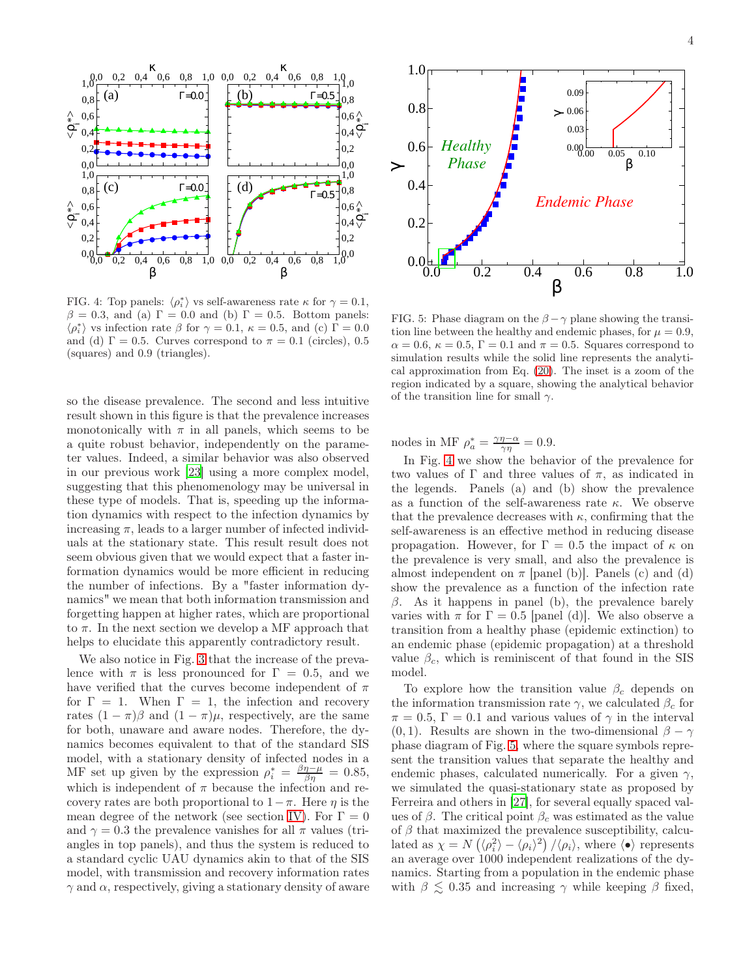

<span id="page-3-0"></span>FIG. 4: Top panels:  $\langle \rho_i^* \rangle$  vs self-awareness rate  $\kappa$  for  $\gamma = 0.1$ ,  $\beta = 0.3$ , and (a)  $\Gamma = 0.0$  and (b)  $\Gamma = 0.5$ . Bottom panels:  $\varphi^*_{i}$  vs infection rate  $\beta$  for  $\gamma = 0.1$ ,  $\kappa = 0.5$ , and (c)  $\Gamma = 0.0$ and (d)  $\Gamma = 0.5$ . Curves correspond to  $\pi = 0.1$  (circles), 0.5 (squares) and 0.9 (triangles).

so the disease prevalence. The second and less intuitive result shown in this figure is that the prevalence increases monotonically with  $\pi$  in all panels, which seems to be a quite robust behavior, independently on the parameter values. Indeed, a similar behavior was also observed in our previous work [\[23\]](#page-9-11) using a more complex model, suggesting that this phenomenology may be universal in these type of models. That is, speeding up the information dynamics with respect to the infection dynamics by increasing  $\pi$ , leads to a larger number of infected individuals at the stationary state. This result result does not seem obvious given that we would expect that a faster information dynamics would be more efficient in reducing the number of infections. By a "faster information dynamics" we mean that both information transmission and forgetting happen at higher rates, which are proportional to  $\pi$ . In the next section we develop a MF approach that helps to elucidate this apparently contradictory result.

We also notice in Fig. [3](#page-2-2) that the increase of the prevalence with  $\pi$  is less pronounced for  $\Gamma = 0.5$ , and we have verified that the curves become independent of  $\pi$ for  $\Gamma = 1$ . When  $\Gamma = 1$ , the infection and recovery rates  $(1 - \pi)\beta$  and  $(1 - \pi)\mu$ , respectively, are the same for both, unaware and aware nodes. Therefore, the dynamics becomes equivalent to that of the standard SIS model, with a stationary density of infected nodes in a MF set up given by the expression  $\rho_i^* = \frac{\beta \eta - \mu}{\beta \eta} = 0.85$ , which is independent of  $\pi$  because the infection and recovery rates are both proportional to  $1-\pi$ . Here  $\eta$  is the mean degree of the network (see section [IV\)](#page-4-0). For  $\Gamma = 0$ and  $\gamma = 0.3$  the prevalence vanishes for all  $\pi$  values (triangles in top panels), and thus the system is reduced to a standard cyclic UAU dynamics akin to that of the SIS model, with transmission and recovery information rates  $\gamma$  and  $\alpha$ , respectively, giving a stationary density of aware



<span id="page-3-1"></span>FIG. 5: Phase diagram on the  $\beta - \gamma$  plane showing the transition line between the healthy and endemic phases, for  $\mu = 0.9$ ,  $\alpha = 0.6$ ,  $\kappa = 0.5$ ,  $\Gamma = 0.1$  and  $\pi = 0.5$ . Squares correspond to simulation results while the solid line represents the analytical approximation from Eq. [\(20\)](#page-6-1). The inset is a zoom of the region indicated by a square, showing the analytical behavior of the transition line for small  $\gamma$ .

nodes in MF  $\rho_a^* = \frac{\gamma \eta - \alpha}{\gamma \eta} = 0.9$ .

In Fig. [4](#page-3-0) we show the behavior of the prevalence for two values of  $\Gamma$  and three values of  $\pi$ , as indicated in the legends. Panels (a) and (b) show the prevalence as a function of the self-awareness rate  $\kappa$ . We observe that the prevalence decreases with  $\kappa$ , confirming that the self-awareness is an effective method in reducing disease propagation. However, for  $\Gamma = 0.5$  the impact of  $\kappa$  on the prevalence is very small, and also the prevalence is almost independent on  $\pi$  [panel (b)]. Panels (c) and (d) show the prevalence as a function of the infection rate  $β$ . As it happens in panel (b), the prevalence barely varies with  $\pi$  for  $\Gamma = 0.5$  [panel (d)]. We also observe a transition from a healthy phase (epidemic extinction) to an endemic phase (epidemic propagation) at a threshold value  $\beta_c$ , which is reminiscent of that found in the SIS model.

To explore how the transition value  $\beta_c$  depends on the information transmission rate  $\gamma$ , we calculated  $\beta_c$  for  $\pi = 0.5, \Gamma = 0.1$  and various values of  $\gamma$  in the interval (0,1). Results are shown in the two-dimensional  $\beta - \gamma$ phase diagram of Fig. [5,](#page-3-1) where the square symbols represent the transition values that separate the healthy and endemic phases, calculated numerically. For a given  $\gamma$ , we simulated the quasi-stationary state as proposed by Ferreira and others in [\[27\]](#page-9-18), for several equally spaced values of  $\beta$ . The critical point  $\beta_c$  was estimated as the value of  $\beta$  that maximized the prevalence susceptibility, calculated as  $\chi = N(\langle \rho_i^2 \rangle - \langle \rho_i \rangle^2)/\langle \rho_i \rangle$ , where  $\langle \bullet \rangle$  represents an average over 1000 independent realizations of the dynamics. Starting from a population in the endemic phase with  $\beta \lesssim 0.35$  and increasing  $\gamma$  while keeping  $\beta$  fixed,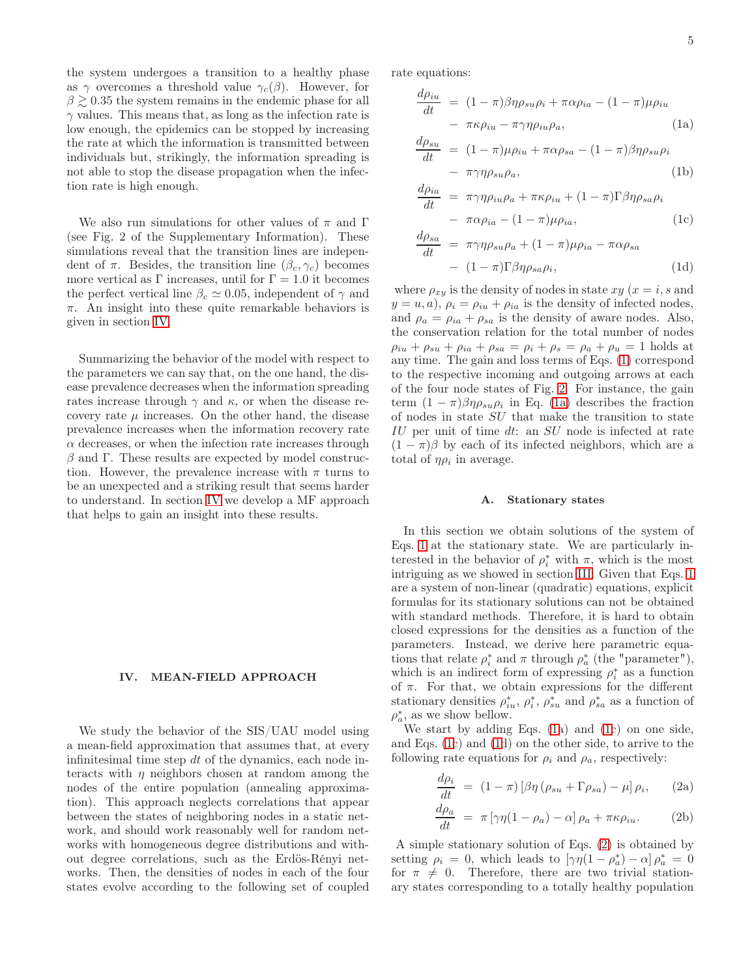the system undergoes a transition to a healthy phase as  $\gamma$  overcomes a threshold value  $\gamma_c(\beta)$ . However, for  $\beta \geq 0.35$  the system remains in the endemic phase for all  $\gamma$  values. This means that, as long as the infection rate is low enough, the epidemics can be stopped by increasing the rate at which the information is transmitted between individuals but, strikingly, the information spreading is not able to stop the disease propagation when the infection rate is high enough.

We also run simulations for other values of  $\pi$  and  $\Gamma$ (see Fig. 2 of the Supplementary Information). These simulations reveal that the transition lines are independent of  $\pi$ . Besides, the transition line  $(\beta_c, \gamma_c)$  becomes more vertical as  $\Gamma$  increases, until for  $\Gamma = 1.0$  it becomes the perfect vertical line  $\beta_c \simeq 0.05$ , independent of  $\gamma$  and  $\pi$ . An insight into these quite remarkable behaviors is given in section [IV.](#page-4-0)

Summarizing the behavior of the model with respect to the parameters we can say that, on the one hand, the disease prevalence decreases when the information spreading rates increase through  $\gamma$  and  $\kappa$ , or when the disease recovery rate  $\mu$  increases. On the other hand, the disease prevalence increases when the information recovery rate  $\alpha$  decreases, or when the infection rate increases through  $\beta$  and  $\Gamma$ . These results are expected by model construction. However, the prevalence increase with  $\pi$  turns to be an unexpected and a striking result that seems harder to understand. In section [IV](#page-4-0) we develop a MF approach that helps to gain an insight into these results.

#### <span id="page-4-0"></span>IV. MEAN-FIELD APPROACH

We study the behavior of the SIS/UAU model using a mean-field approximation that assumes that, at every infinitesimal time step  $dt$  of the dynamics, each node interacts with  $\eta$  neighbors chosen at random among the nodes of the entire population (annealing approximation). This approach neglects correlations that appear between the states of neighboring nodes in a static network, and should work reasonably well for random networks with homogeneous degree distributions and without degree correlations, such as the Erdös-Rényi networks. Then, the densities of nodes in each of the four states evolve according to the following set of coupled

rate equations:

$$
\frac{d\rho_{iu}}{dt} = (1 - \pi)\beta\eta\rho_{su}\rho_i + \pi\alpha\rho_{ia} - (1 - \pi)\mu\rho_{iu} \n- \pi\kappa\rho_{iu} - \pi\gamma\eta\rho_{iu}\rho_a,
$$
\n(1a)

$$
\frac{d\rho_{su}}{dt} = (1 - \pi)\mu\rho_{iu} + \pi\alpha\rho_{sa} - (1 - \pi)\beta\eta\rho_{su}\rho_i
$$

$$
- \pi\gamma\eta\rho_{su}\rho_a, \tag{1b}
$$

$$
\frac{d\rho_{ia}}{dt} = \pi \gamma \eta \rho_{iu} \rho_a + \pi \kappa \rho_{iu} + (1 - \pi) \Gamma \beta \eta \rho_{sa} \rho_i
$$

$$
- \pi \alpha \rho_{ia} - (1 - \pi) \mu \rho_{ia}, \qquad (1c)
$$

$$
\frac{d\rho_{sa}}{dt} = \pi \gamma \eta \rho_{su} \rho_a + (1 - \pi) \mu \rho_{ia} - \pi \alpha \rho_{sa}
$$

$$
- (1 - \pi) \Gamma \beta \eta \rho_{sa} \rho_i, \qquad (1d)
$$

where  $\rho_{xy}$  is the density of nodes in state  $xy(x=i, s)$  and  $y = u, a$ ,  $\rho_i = \rho_{iu} + \rho_{ia}$  is the density of infected nodes, and  $\rho_a = \rho_{ia} + \rho_{sa}$  is the density of aware nodes. Also, the conservation relation for the total number of nodes  $\rho_{iu} + \rho_{su} + \rho_{ia} + \rho_{sa} = \rho_i + \rho_s = \rho_a + \rho_u = 1$  holds at any time. The gain and loss terms of Eqs. [\(1\)](#page-5-0) correspond to the respective incoming and outgoing arrows at each of the four node states of Fig. [2.](#page-2-1) For instance, the gain term  $(1 - \pi)\beta\eta\rho_{su}\rho_i$  in Eq. [\(1a\)](#page-5-0) describes the fraction of nodes in state SU that make the transition to state IU per unit of time dt: an SU node is infected at rate  $(1 - \pi)\beta$  by each of its infected neighbors, which are a total of  $\eta \rho_i$  in average.

### <span id="page-4-1"></span>A. Stationary states

In this section we obtain solutions of the system of Eqs. [1](#page-5-0) at the stationary state. We are particularly interested in the behavior of  $\rho_i^*$  with  $\pi$ , which is the most intriguing as we showed in section [III.](#page-2-0) Given that Eqs. [1](#page-5-0) are a system of non-linear (quadratic) equations, explicit formulas for its stationary solutions can not be obtained with standard methods. Therefore, it is hard to obtain closed expressions for the densities as a function of the parameters. Instead, we derive here parametric equations that relate  $\rho_i^*$  and  $\pi$  through  $\rho_a^*$  (the "parameter"), which is an indirect form of expressing  $\rho_i^*$  as a function of  $\pi$ . For that, we obtain expressions for the different stationary densities  $\rho_{iu}^*, \rho_i^*, \rho_{su}^*$  and  $\rho_{sa}^*$  as a function of  $\rho_a^*$ , as we show bellow.

We start by adding Eqs. [\(1a](#page-5-0)) and [\(1c](#page-5-0)) on one side, and Eqs. [\(1c](#page-5-0)) and [\(1d](#page-5-0)) on the other side, to arrive to the following rate equations for  $\rho_i$  and  $\rho_a$ , respectively:

$$
\frac{d\rho_i}{dt} = (1 - \pi) [\beta \eta (\rho_{su} + \Gamma \rho_{sa}) - \mu] \rho_i, \qquad (2a)
$$

$$
\frac{d\rho_a}{dt} = \pi \left[ \gamma \eta (1 - \rho_a) - \alpha \right] \rho_a + \pi \kappa \rho_{iu}.
$$
 (2b)

A simple stationary solution of Eqs. [\(2\)](#page-5-0) is obtained by setting  $\rho_i = 0$ , which leads to  $[\gamma \eta (1 - \rho_a^*) - \alpha] \rho_a^* = 0$ for  $\pi \neq 0$ . Therefore, there are two trivial stationary states corresponding to a totally healthy population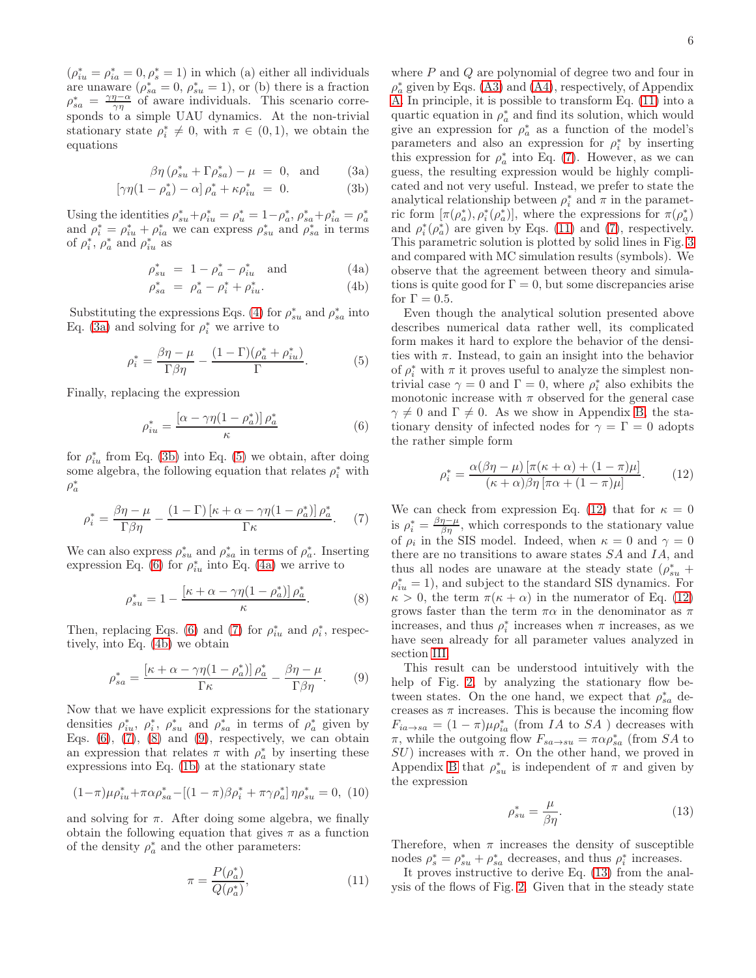$(\rho_{iu}^*=\rho_{ia}^*=0,\rho_s^*=1)$  in which (a) either all individuals are unaware  $(\rho_{sa}^* = 0, \rho_{su}^* = 1)$ , or (b) there is a fraction  $\rho_{sa}^* = \frac{\gamma \eta - \alpha}{\gamma \eta}$  of aware individuals. This scenario corresponds to a simple UAU dynamics. At the non-trivial stationary state  $\rho_i^* \neq 0$ , with  $\pi \in (0,1)$ , we obtain the equations

$$
\beta \eta \left( \rho_{su}^* + \Gamma \rho_{sa}^* \right) - \mu = 0, \text{ and } (3a)
$$

$$
\left[\gamma\eta(1-\rho_a^*)-\alpha\right]\rho_a^* + \kappa\rho_{iu}^* = 0. \tag{3b}
$$

Using the identities  $\rho_{su}^* + \rho_{iu}^* = \rho_u^* = 1 - \rho_a^*, \rho_{sa}^* + \rho_{ia}^* = \rho_a^*$ and  $\rho_i^* = \rho_{iu}^* + \rho_{ia}^*$  we can express  $\rho_{su}^*$  and  $\rho_{sa}^*$  in terms of  $\rho_i^*, \rho_a^*$  and  $\rho_{iu}^*$  as

<span id="page-5-0"></span>
$$
\rho_{su}^* = 1 - \rho_a^* - \rho_{iu}^* \quad \text{and} \tag{4a}
$$

$$
\rho_{sa}^* = \rho_a^* - \rho_i^* + \rho_{iu}^*.
$$
 (4b)

Substituting the expressions Eqs. [\(4\)](#page-5-0) for  $\rho_{su}^*$  and  $\rho_{sa}^*$  into Eq. [\(3a\)](#page-5-0) and solving for  $\rho_i^*$  we arrive to

$$
\rho_i^* = \frac{\beta \eta - \mu}{\Gamma \beta \eta} - \frac{(1 - \Gamma)(\rho_a^* + \rho_{iu}^*)}{\Gamma}.
$$
 (5)

Finally, replacing the expression

<span id="page-5-2"></span>
$$
\rho_{iu}^* = \frac{\left[\alpha - \gamma \eta (1 - \rho_a^*)\right] \rho_a^*}{\kappa} \tag{6}
$$

for  $\rho_{iu}^*$  from Eq. [\(3b\)](#page-5-0) into Eq. [\(5\)](#page-5-1) we obtain, after doing some algebra, the following equation that relates  $\rho_i^*$  with  $\rho_a^*$ 

<span id="page-5-3"></span>
$$
\rho_i^* = \frac{\beta \eta - \mu}{\Gamma \beta \eta} - \frac{(1 - \Gamma) \left[ \kappa + \alpha - \gamma \eta (1 - \rho_a^*) \right] \rho_a^*}{\Gamma \kappa}.
$$
 (7)

We can also express  $\rho_{su}^*$  and  $\rho_{sa}^*$  in terms of  $\rho_a^*$ . Inserting expression Eq. [\(6\)](#page-5-2) for  $\rho_{iu}^*$  into Eq. [\(4a\)](#page-5-0) we arrive to

<span id="page-5-5"></span>
$$
\rho_{su}^* = 1 - \frac{\left[\kappa + \alpha - \gamma \eta (1 - \rho_a^*)\right] \rho_a^*}{\kappa}.
$$
 (8)

Then, replacing Eqs. [\(6\)](#page-5-2) and [\(7\)](#page-5-3) for  $\rho_{iu}^*$  and  $\rho_i^*$ , respectively, into Eq. [\(4b\)](#page-5-0) we obtain

$$
\rho_{sa}^* = \frac{\left[\kappa + \alpha - \gamma \eta (1 - \rho_a^*)\right] \rho_a^*}{\Gamma \kappa} - \frac{\beta \eta - \mu}{\Gamma \beta \eta}.\tag{9}
$$

Now that we have explicit expressions for the stationary densities  $\rho_{iu}^*, \rho_i^*, \rho_{su}^*$  and  $\rho_{sa}^*$  in terms of  $\rho_a^*$  given by Eqs.  $(6)$ ,  $(7)$ ,  $(8)$  and  $(9)$ , respectively, we can obtain an expression that relates  $\pi$  with  $\rho_a^*$  by inserting these expressions into Eq. [\(1b\)](#page-5-0) at the stationary state

$$
(1-\pi)\mu \rho_{iu}^* + \pi \alpha \rho_{sa}^* - [(1-\pi)\beta \rho_i^* + \pi \gamma \rho_a^*] \eta \rho_{su}^* = 0, (10)
$$

and solving for  $\pi$ . After doing some algebra, we finally obtain the following equation that gives  $\pi$  as a function of the density  $\rho_a^*$  and the other parameters:

$$
\pi = \frac{P(\rho_a^*)}{Q(\rho_a^*)},\tag{11}
$$

where  $P$  and  $Q$  are polynomial of degree two and four in  $\rho_a^*$  given by Eqs. [\(A3\)](#page-7-0) and [\(A4\)](#page-7-1), respectively, of Appendix [A.](#page-7-2) In principle, it is possible to transform Eq. [\(11\)](#page-5-6) into a quartic equation in  $\rho_a^*$  and find its solution, which would give an expression for  $\rho_a^*$  as a function of the model's parameters and also an expression for  $\rho_i^*$  by inserting this expression for  $\rho_a^*$  into Eq. [\(7\)](#page-5-3). However, as we can guess, the resulting expression would be highly complicated and not very useful. Instead, we prefer to state the analytical relationship between  $\rho_i^*$  and  $\pi$  in the parametric form  $[\pi(\rho_a^*), \rho_i^*(\rho_a^*)]$ , where the expressions for  $\pi(\rho_a^*)$ and  $\rho_i^*(\rho_a^*)$  are given by Eqs. [\(11\)](#page-5-6) and [\(7\)](#page-5-3), respectively. This parametric solution is plotted by solid lines in Fig. [3](#page-2-2) and compared with MC simulation results (symbols). We observe that the agreement between theory and simulations is quite good for  $\Gamma = 0$ , but some discrepancies arise for  $\Gamma = 0.5$ .

<span id="page-5-1"></span>Even though the analytical solution presented above describes numerical data rather well, its complicated form makes it hard to explore the behavior of the densities with  $\pi$ . Instead, to gain an insight into the behavior of  $\rho_i^*$  with  $\pi$  it proves useful to analyze the simplest nontrivial case  $\gamma = 0$  and  $\Gamma = 0$ , where  $\rho_i^*$  also exhibits the monotonic increase with  $\pi$  observed for the general case  $\gamma \neq 0$  and  $\Gamma \neq 0$ . As we show in Appendix [B,](#page-8-0) the stationary density of infected nodes for  $\gamma = \Gamma = 0$  adopts the rather simple form

<span id="page-5-7"></span>
$$
\rho_i^* = \frac{\alpha(\beta\eta - \mu) \left[ \pi(\kappa + \alpha) + (1 - \pi)\mu \right]}{(\kappa + \alpha)\beta\eta \left[ \pi\alpha + (1 - \pi)\mu \right]}.
$$
 (12)

<span id="page-5-4"></span>We can check from expression Eq. [\(12\)](#page-5-7) that for  $\kappa = 0$ is  $\rho_i^* = \frac{\beta \eta - \mu}{\beta \eta}$ , which corresponds to the stationary value of  $\rho_i$  in the SIS model. Indeed, when  $\kappa = 0$  and  $\gamma = 0$ there are no transitions to aware states SA and IA, and thus all nodes are unaware at the steady state  $(\rho_{su}^* +$  $\rho_{iu}^* = 1$ , and subject to the standard SIS dynamics. For  $\kappa > 0$ , the term  $\pi(\kappa + \alpha)$  in the numerator of Eq. [\(12\)](#page-5-7) grows faster than the term  $\pi\alpha$  in the denominator as  $\pi$ increases, and thus  $\rho_i^*$  increases when  $\pi$  increases, as we have seen already for all parameter values analyzed in section [III.](#page-2-0)

This result can be understood intuitively with the help of Fig. [2,](#page-2-1) by analyzing the stationary flow between states. On the one hand, we expect that  $\rho_{sa}^{*}$  decreases as  $\pi$  increases. This is because the incoming flow  $F_{ia\rightarrow sa} = (1-\pi)\mu \rho_{ia}^*$  (from *IA* to *SA*) decreases with π, while the outgoing flow  $F_{sa \to su} = \pi \alpha \rho_{sa}^*$  (from SA to  $SU$ ) increases with  $\pi$ . On the other hand, we proved in Appendix [B](#page-8-0) that  $\rho_{su}^*$  is independent of  $\pi$  and given by the expression

<span id="page-5-8"></span>
$$
\rho_{su}^* = \frac{\mu}{\beta \eta}.\tag{13}
$$

<span id="page-5-9"></span><span id="page-5-6"></span>Therefore, when  $\pi$  increases the density of susceptible nodes  $\rho_s^* = \rho_{su}^* + \rho_{sa}^*$  decreases, and thus  $\rho_i^*$  increases.

It proves instructive to derive Eq. [\(13\)](#page-5-8) from the analysis of the flows of Fig. [2.](#page-2-1) Given that in the steady state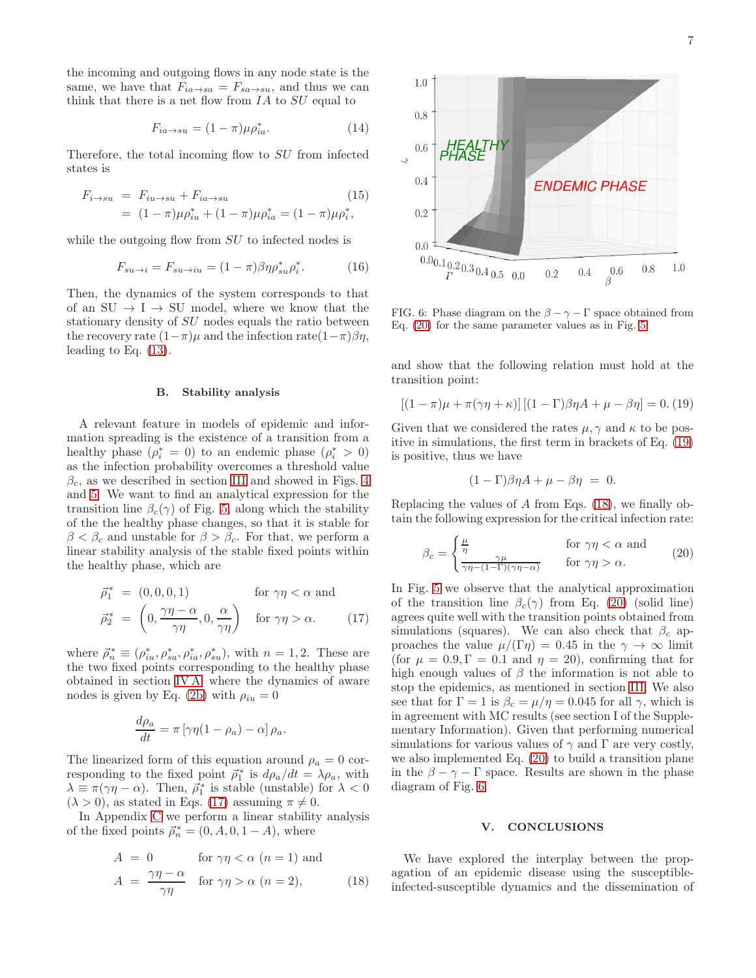the incoming and outgoing flows in any node state is the same, we have that  $F_{ia\rightarrow sa} = F_{sa\rightarrow su}$ , and thus we can think that there is a net flow from  $IA$  to  $SU$  equal to

$$
F_{ia \to su} = (1 - \pi)\mu \rho_{ia}^*.
$$
 (14)

Therefore, the total incoming flow to SU from infected states is

$$
F_{i \to su} = F_{iu \to su} + F_{ia \to su}
$$
\n
$$
= (1 - \pi)\mu \rho_{iu}^* + (1 - \pi)\mu \rho_{ia}^* = (1 - \pi)\mu \rho_i^*,
$$
\n(15)

while the outgoing flow from SU to infected nodes is

$$
F_{su \to i} = F_{su \to iu} = (1 - \pi)\beta\eta\rho_{su}^*\rho_i^*.
$$
 (16)

Then, the dynamics of the system corresponds to that of an  $SU \rightarrow I \rightarrow SU$  model, where we know that the stationary density of SU nodes equals the ratio between the recovery rate  $(1-\pi)\mu$  and the infection rate $(1-\pi)\beta\eta$ , leading to Eq. [\(13\)](#page-5-8).

## B. Stability analysis

A relevant feature in models of epidemic and information spreading is the existence of a transition from a healthy phase  $(\rho_i^* = 0)$  to an endemic phase  $(\rho_i^* > 0)$ as the infection probability overcomes a threshold value  $\beta_c$ , as we described in section [III](#page-2-0) and showed in Figs. [4](#page-3-0) and [5.](#page-3-1) We want to find an analytical expression for the transition line  $\beta_c(\gamma)$  of Fig. [5,](#page-3-1) along which the stability of the the healthy phase changes, so that it is stable for  $\beta < \beta_c$  and unstable for  $\beta > \beta_c$ . For that, we perform a linear stability analysis of the stable fixed points within the healthy phase, which are

<span id="page-6-2"></span>
$$
\vec{\rho}_1^* = (0, 0, 0, 1) \quad \text{for } \gamma \eta < \alpha \text{ and}
$$

$$
\vec{\rho}_2^* = \left(0, \frac{\gamma \eta - \alpha}{\gamma \eta}, 0, \frac{\alpha}{\gamma \eta}\right) \quad \text{for } \gamma \eta > \alpha. \tag{17}
$$

where  $\vec{\rho}_n^* \equiv (\rho_{iu}^*, \rho_{sa}^*, \rho_{ia}^*, \rho_{su}^*),$  with  $n = 1, 2$ . These are the two fixed points corresponding to the healthy phase obtained in section [IV A,](#page-4-1) where the dynamics of aware nodes is given by Eq. [\(2b\)](#page-5-0) with  $\rho_{iu} = 0$ 

$$
\frac{d\rho_a}{dt} = \pi \left[ \gamma \eta (1 - \rho_a) - \alpha \right] \rho_a.
$$

The linearized form of this equation around  $\rho_a = 0$  corresponding to the fixed point  $\vec{\rho}_1^*$  is  $d\rho_a/dt = \lambda \rho_a$ , with  $\lambda \equiv \pi(\gamma \eta - \alpha)$ . Then,  $\vec{\rho}_1^*$  is stable (unstable) for  $\lambda < 0$  $(\lambda > 0)$ , as stated in Eqs. [\(17\)](#page-6-2) assuming  $\pi \neq 0$ .

In Appendix [C](#page-8-1) we perform a linear stability analysis of the fixed points  $\vec{\rho}_n^* = (0, A, 0, 1 - A)$ , where

<span id="page-6-4"></span>
$$
A = 0 \qquad \text{for } \gamma \eta < \alpha \ (n = 1) \text{ and}
$$
\n
$$
A = \frac{\gamma \eta - \alpha}{\gamma \eta} \quad \text{for } \gamma \eta > \alpha \ (n = 2), \tag{18}
$$



<span id="page-6-5"></span>FIG. 6: Phase diagram on the  $\beta - \gamma - \Gamma$  space obtained from Eq. [\(20\)](#page-6-1) for the same parameter values as in Fig. [5.](#page-3-1)

and show that the following relation must hold at the transition point:

<span id="page-6-3"></span>
$$
[(1 - \pi)\mu + \pi(\gamma\eta + \kappa)][(1 - \Gamma)\beta\eta A + \mu - \beta\eta] = 0. (19)
$$

Given that we considered the rates  $\mu, \gamma$  and  $\kappa$  to be positive in simulations, the first term in brackets of Eq. [\(19\)](#page-6-3) is positive, thus we have

$$
(1 - \Gamma)\beta \eta A + \mu - \beta \eta = 0.
$$

Replacing the values of A from Eqs. [\(18\)](#page-6-4), we finally obtain the following expression for the critical infection rate:

<span id="page-6-1"></span>
$$
\beta_c = \begin{cases} \frac{\mu}{\eta} & \text{for } \gamma \eta < \alpha \text{ and} \\ \frac{\gamma \mu}{\gamma \eta - (1 - \Gamma)(\gamma \eta - \alpha)} & \text{for } \gamma \eta > \alpha. \end{cases}
$$
(20)

In Fig. [5](#page-3-1) we observe that the analytical approximation of the transition line  $\beta_c(\gamma)$  from Eq. [\(20\)](#page-6-1) (solid line) agrees quite well with the transition points obtained from simulations (squares). We can also check that  $\beta_c$  approaches the value  $\mu/(\Gamma \eta) = 0.45$  in the  $\gamma \to \infty$  limit (for  $\mu = 0.9, \Gamma = 0.1$  and  $\eta = 20$ ), confirming that for high enough values of  $\beta$  the information is not able to stop the epidemics, as mentioned in section [III.](#page-2-0) We also see that for  $\Gamma = 1$  is  $\beta_c = \mu/\eta = 0.045$  for all  $\gamma$ , which is in agreement with MC results (see section I of the Supplementary Information). Given that performing numerical simulations for various values of  $\gamma$  and  $\Gamma$  are very costly, we also implemented Eq. [\(20\)](#page-6-1) to build a transition plane in the  $\beta - \gamma - \Gamma$  space. Results are shown in the phase diagram of Fig. [6.](#page-6-5)

### <span id="page-6-0"></span>V. CONCLUSIONS

We have explored the interplay between the propagation of an epidemic disease using the susceptibleinfected-susceptible dynamics and the dissemination of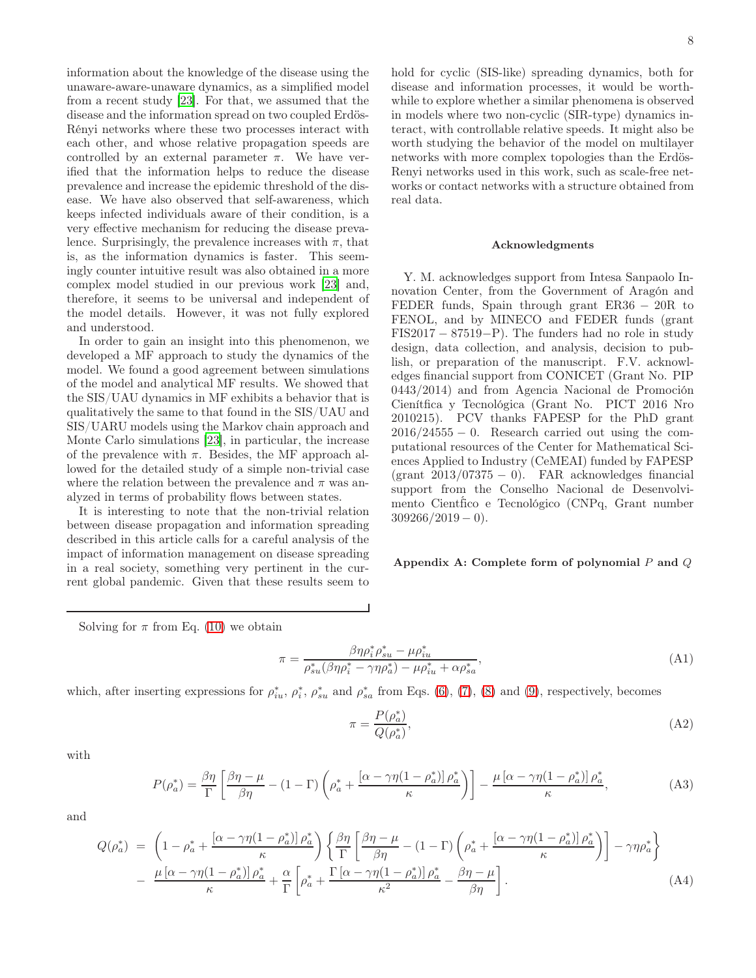information about the knowledge of the disease using the unaware-aware-unaware dynamics, as a simplified model from a recent study [\[23\]](#page-9-11). For that, we assumed that the disease and the information spread on two coupled Erdös-Rényi networks where these two processes interact with each other, and whose relative propagation speeds are controlled by an external parameter  $\pi$ . We have verified that the information helps to reduce the disease prevalence and increase the epidemic threshold of the disease. We have also observed that self-awareness, which keeps infected individuals aware of their condition, is a very effective mechanism for reducing the disease prevalence. Surprisingly, the prevalence increases with  $\pi$ , that is, as the information dynamics is faster. This seemingly counter intuitive result was also obtained in a more complex model studied in our previous work [\[23\]](#page-9-11) and, therefore, it seems to be universal and independent of the model details. However, it was not fully explored and understood.

In order to gain an insight into this phenomenon, we developed a MF approach to study the dynamics of the model. We found a good agreement between simulations of the model and analytical MF results. We showed that the SIS/UAU dynamics in MF exhibits a behavior that is qualitatively the same to that found in the SIS/UAU and SIS/UARU models using the Markov chain approach and Monte Carlo simulations [\[23\]](#page-9-11), in particular, the increase of the prevalence with  $\pi$ . Besides, the MF approach allowed for the detailed study of a simple non-trivial case where the relation between the prevalence and  $\pi$  was analyzed in terms of probability flows between states.

It is interesting to note that the non-trivial relation between disease propagation and information spreading described in this article calls for a careful analysis of the impact of information management on disease spreading in a real society, something very pertinent in the current global pandemic. Given that these results seem to

8

hold for cyclic (SIS-like) spreading dynamics, both for disease and information processes, it would be worthwhile to explore whether a similar phenomena is observed in models where two non-cyclic (SIR-type) dynamics interact, with controllable relative speeds. It might also be worth studying the behavior of the model on multilayer networks with more complex topologies than the Erdös-Renyi networks used in this work, such as scale-free networks or contact networks with a structure obtained from real data.

#### Acknowledgments

Y. M. acknowledges support from Intesa Sanpaolo Innovation Center, from the Government of Aragón and FEDER funds, Spain through grant ER36 − 20R to FENOL, and by MINECO and FEDER funds (grant FIS2017 − 87519−P). The funders had no role in study design, data collection, and analysis, decision to publish, or preparation of the manuscript. F.V. acknowledges financial support from CONICET (Grant No. PIP 0443/2014) and from Agencia Nacional de Promoción Cienítfica y Tecnológica (Grant No. PICT 2016 Nro 2010215). PCV thanks FAPESP for the PhD grant  $2016/24555 - 0$ . Research carried out using the computational resources of the Center for Mathematical Sciences Applied to Industry (CeMEAI) funded by FAPESP  $(\text{grant } 2013/07375 - 0)$ . FAR acknowledges financial support from the Conselho Nacional de Desenvolvimento Cient´fico e Tecnológico (CNPq, Grant number  $309266/2019 - 0$ .

## <span id="page-7-2"></span>Appendix A: Complete form of polynomial  $P$  and  $Q$

Solving for  $\pi$  from Eq. [\(10\)](#page-5-9) we obtain

$$
\pi = \frac{\beta \eta \rho_i^* \rho_{su}^* - \mu \rho_{iu}^*}{\rho_{su}^* (\beta \eta \rho_i^* - \gamma \eta \rho_a^*) - \mu \rho_{iu}^* + \alpha \rho_{sa}^*},\tag{A1}
$$

which, after inserting expressions for  $\rho_{iu}^*, \rho_i^*, \rho_{su}^*$  and  $\rho_{sa}^*$  from Eqs. [\(6\)](#page-5-2), [\(7\)](#page-5-3), [\(8\)](#page-5-4) and [\(9\)](#page-5-5), respectively, becomes

$$
\pi = \frac{P(\rho_a^*)}{Q(\rho_a^*)},\tag{A2}
$$

<span id="page-7-0"></span>with

$$
P(\rho_a^*) = \frac{\beta \eta}{\Gamma} \left[ \frac{\beta \eta - \mu}{\beta \eta} - (1 - \Gamma) \left( \rho_a^* + \frac{[\alpha - \gamma \eta (1 - \rho_a^*)] \rho_a^*}{\kappa} \right) \right] - \frac{\mu \left[ \alpha - \gamma \eta (1 - \rho_a^*) \right] \rho_a^*}{\kappa},\tag{A3}
$$

and

<span id="page-7-1"></span>
$$
Q(\rho_a^*) = \left(1 - \rho_a^* + \frac{[\alpha - \gamma \eta (1 - \rho_a^*)] \rho_a^*}{\kappa}\right) \left\{\frac{\beta \eta}{\Gamma} \left[\frac{\beta \eta - \mu}{\beta \eta} - (1 - \Gamma) \left(\rho_a^* + \frac{[\alpha - \gamma \eta (1 - \rho_a^*)] \rho_a^*}{\kappa}\right)\right] - \gamma \eta \rho_a^*\right\}
$$

$$
- \frac{\mu \left[\alpha - \gamma \eta (1 - \rho_a^*)\right] \rho_a^*}{\kappa} + \frac{\alpha}{\Gamma} \left[\rho_a^* + \frac{\Gamma \left[\alpha - \gamma \eta (1 - \rho_a^*)\right] \rho_a^*}{\kappa^2} - \frac{\beta \eta - \mu}{\beta \eta}\right].
$$
 (A4)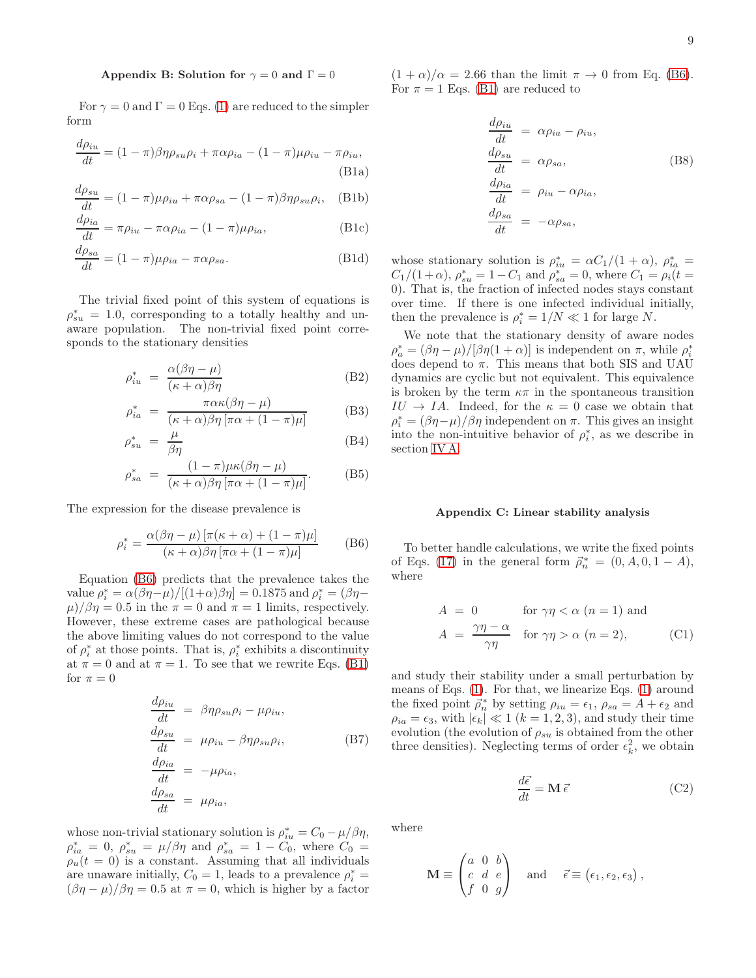### <span id="page-8-0"></span>Appendix B: Solution for  $\gamma = 0$  and  $\Gamma = 0$

For  $\gamma = 0$  and  $\Gamma = 0$  Eqs. [\(1\)](#page-5-0) are reduced to the simpler form

$$
\frac{d\rho_{iu}}{dt} = (1 - \pi)\beta\eta\rho_{su}\rho_i + \pi\alpha\rho_{ia} - (1 - \pi)\mu\rho_{iu} - \pi\rho_{iu},
$$
\n(B1a)

$$
\frac{d\rho_{su}}{dt} = (1 - \pi)\mu\rho_{iu} + \pi\alpha\rho_{sa} - (1 - \pi)\beta\eta\rho_{su}\rho_i, \quad (B1b)
$$

$$
\frac{d\rho_{ia}}{dt} = \pi \rho_{iu} - \pi \alpha \rho_{ia} - (1 - \pi) \mu \rho_{ia},
$$
 (B1c)

$$
\frac{d\rho_{sa}}{dt} = (1 - \pi)\mu\rho_{ia} - \pi\alpha\rho_{sa}.
$$
 (B1d)

The trivial fixed point of this system of equations is  $\rho_{su}^* = 1.0$ , corresponding to a totally healthy and unaware population. The non-trivial fixed point corresponds to the stationary densities

$$
\rho_{iu}^* = \frac{\alpha(\beta \eta - \mu)}{(\kappa + \alpha)\beta\eta} \tag{B2}
$$

$$
\rho_{ia}^* = \frac{\pi \alpha \kappa (\beta \eta - \mu)}{(\kappa + \alpha) \beta \eta \left[ \pi \alpha + (1 - \pi) \mu \right]}
$$
(B3)

$$
\rho_{su}^* = \frac{\mu}{\beta \eta} \tag{B4}
$$

$$
\rho_{sa}^{*} = \frac{(1-\pi)\mu\kappa(\beta\eta-\mu)}{(\kappa+\alpha)\beta\eta\left[\pi\alpha+(1-\pi)\mu\right]}.
$$
 (B5)

The expression for the disease prevalence is

$$
\rho_i^* = \frac{\alpha(\beta \eta - \mu) \left[ \pi(\kappa + \alpha) + (1 - \pi)\mu \right]}{(\kappa + \alpha)\beta \eta \left[ \pi \alpha + (1 - \pi)\mu \right]} \tag{B6}
$$

Equation [\(B6\)](#page-8-2) predicts that the prevalence takes the value  $\rho_i^* = \alpha(\beta \eta - \mu)/[(1+\alpha)\beta \eta] = 0.1875$  and  $\rho_i^* = (\beta \eta - \mu)/[(1+\alpha)\beta \eta]$  $\mu$ / $\beta$ η = 0.5 in the  $\pi$  = 0 and  $\pi$  = 1 limits, respectively. However, these extreme cases are pathological because the above limiting values do not correspond to the value of  $\rho_i^*$  at those points. That is,  $\rho_i^*$  exhibits a discontinuity at  $\pi = 0$  and at  $\pi = 1$ . To see that we rewrite Eqs. [\(B1\)](#page-8-3) for  $\pi = 0$ 

$$
\frac{d\rho_{iu}}{dt} = \beta \eta \rho_{su} \rho_i - \mu \rho_{iu},
$$
\n
$$
\frac{d\rho_{su}}{dt} = \mu \rho_{iu} - \beta \eta \rho_{su} \rho_i,
$$
\n
$$
\frac{d\rho_{ia}}{dt} = -\mu \rho_{ia},
$$
\n
$$
\frac{d\rho_{sa}}{dt} = \mu \rho_{ia},
$$
\n
$$
(B7)
$$

whose non-trivial stationary solution is  $\rho_{iu}^* = C_0 - \mu/\beta \eta$ ,  $\rho_{ia}^* = 0, \ \rho_{su}^* = \mu/\beta\eta \text{ and } \rho_{sa}^* = 1 - C_0^*$ , where  $C_0 =$  $\rho_u(t=0)$  is a constant. Assuming that all individuals are unaware initially,  $C_0 = 1$ , leads to a prevalence  $\rho_i^* =$  $(\beta \eta - \mu)/\beta \eta = 0.5$  at  $\pi = 0$ , which is higher by a factor

 $(1 + \alpha)/\alpha = 2.66$  than the limit  $\pi \to 0$  from Eq. [\(B6\)](#page-8-2). For  $\pi = 1$  Eqs. [\(B1\)](#page-8-3) are reduced to

$$
\frac{d\rho_{iu}}{dt} = \alpha \rho_{ia} - \rho_{iu},
$$
\n
$$
\frac{d\rho_{su}}{dt} = \alpha \rho_{sa},
$$
\n
$$
\frac{d\rho_{ia}}{dt} = \rho_{iu} - \alpha \rho_{ia},
$$
\n
$$
\frac{d\rho_{sa}}{dt} = -\alpha \rho_{sa},
$$
\n
$$
(B8)
$$

<span id="page-8-3"></span>whose stationary solution is  $\rho_{iu}^* = \alpha C_1/(1+\alpha)$ ,  $\rho_{ia}^* =$  $C_1/(1+\alpha)$ ,  $\rho_{su}^* = 1 - C_1$  and  $\rho_{sa}^* = 0$ , where  $C_1 = \rho_i(t=$ 0). That is, the fraction of infected nodes stays constant over time. If there is one infected individual initially, then the prevalence is  $\rho_i^* = 1/N \ll 1$  for large N.

We note that the stationary density of aware nodes  $\rho_a^* = (\beta \eta - \mu) / [\beta \eta (1 + \alpha)]$  is independent on  $\pi$ , while  $\rho_i^*$ does depend to  $\pi$ . This means that both SIS and UAU dynamics are cyclic but not equivalent. This equivalence is broken by the term  $\kappa\pi$  in the spontaneous transition  $IU \rightarrow IA$ . Indeed, for the  $\kappa = 0$  case we obtain that  $\rho_i^* = (\beta \eta - \mu)/\beta \eta$  independent on  $\pi$ . This gives an insight into the non-intuitive behavior of  $\rho_i^*$ , as we describe in section [IV A.](#page-4-1)

#### <span id="page-8-1"></span>Appendix C: Linear stability analysis

<span id="page-8-2"></span>To better handle calculations, we write the fixed points of Eqs. [\(17\)](#page-6-2) in the general form  $\vec{\rho}_n^* = (0, A, 0, 1 - A),$ where

$$
A = 0 \qquad \text{for } \gamma \eta < \alpha \ (n = 1) \text{ and}
$$

$$
A = \frac{\gamma \eta - \alpha}{\gamma \eta} \quad \text{for } \gamma \eta > \alpha \ (n = 2), \tag{C1}
$$

and study their stability under a small perturbation by means of Eqs. [\(1\)](#page-5-0). For that, we linearize Eqs. [\(1\)](#page-5-0) around the fixed point  $\vec{\rho}_n^*$  by setting  $\rho_{iu} = \epsilon_1$ ,  $\rho_{sa} = \vec{A} + \epsilon_2$  and  $\rho_{ia} = \epsilon_3$ , with  $|\epsilon_k| \ll 1$   $(k = 1, 2, 3)$ , and study their time evolution (the evolution of  $\rho_{su}$  is obtained from the other three densities). Neglecting terms of order  $\epsilon_k^2$ , we obtain

$$
\frac{d\vec{\epsilon}}{dt} = \mathbf{M}\,\vec{\epsilon}
$$
 (C2)

,

where

$$
\mathbf{M} \equiv \begin{pmatrix} a & 0 & b \\ c & d & e \\ f & 0 & g \end{pmatrix} \quad \text{and} \quad \vec{\epsilon} \equiv (\epsilon_1, \epsilon_2, \epsilon_3)
$$